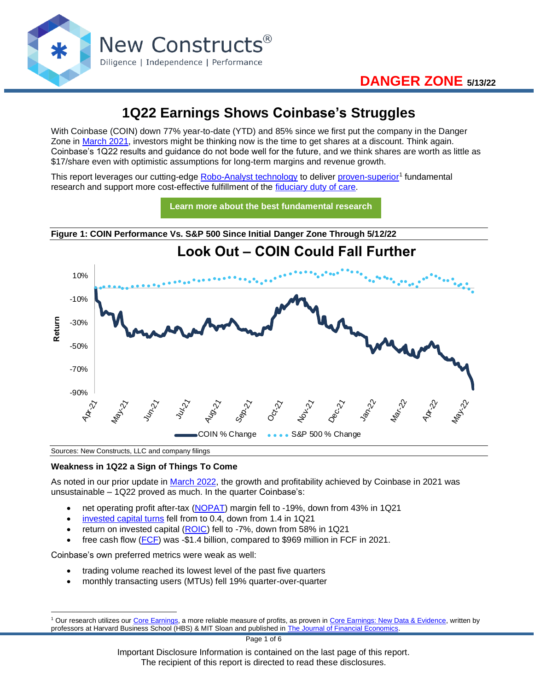

# **1Q22 Earnings Shows Coinbase's Struggles**

With Coinbase (COIN) down 77% year-to-date (YTD) and 85% since we first put the company in the Danger Zone in [March 2021,](https://www.newconstructs.com/can-you-make-coin-investing-in-coinbase/) investors might be thinking now is the time to get shares at a discount. Think again. Coinbase's 1Q22 results and guidance do not bode well for the future, and we think shares are worth as little as \$17/share even with optimistic assumptions for long-term margins and revenue growth.

This report leverages our cutting-edge [Robo-Analyst technology](https://www.newconstructs.com/landing/robo-analyst-technology/) to deliver [proven-superior](https://www.newconstructs.com/proof-of-the-superiority-of-our-data-models-ratings/)<sup>1</sup> fundamental research and support more cost-effective fulfillment of the [fiduciary duty of care.](https://www.newconstructs.com/even-without-the-law-fiduciary-rule-awareness-remains/)



Sources: New Constructs, LLC and company filings

#### **Weakness in 1Q22 a Sign of Things To Come**

As noted in our prior update in [March 2022,](https://www.newconstructs.com/no-coin-to-be-made-here/) the growth and profitability achieved by Coinbase in 2021 was unsustainable – 1Q22 proved as much. In the quarter Coinbase's:

- net operating profit after-tax [\(NOPAT\)](https://www.newconstructs.com/education-net-operating-profit/) margin fell to -19%, down from 43% in 1Q21
- [invested capital turns](https://www.newconstructs.com/invested-capital-turns/) fell from to 0.4, down from 1.4 in 1Q21
- return on invested capital [\(ROIC\)](https://www.newconstructs.com/education-return-on-invested-capital/) fell to -7%, down from 58% in 1Q21
- free cash flow [\(FCF\)](https://www.newconstructs.com/education-free-cash-flow/) was -\$1.4 billion, compared to \$969 million in FCF in 2021.

Coinbase's own preferred metrics were weak as well:

- trading volume reached its lowest level of the past five quarters
- monthly transacting users (MTUs) fell 19% quarter-over-quarter

Page 1 of 6

Important Disclosure Information is contained on the last page of this report. The recipient of this report is directed to read these disclosures.

<sup>&</sup>lt;sup>1</sup> Our research utilizes our [Core Earnings,](https://www.newconstructs.com/education-core-earnings-earnings-distortion/) a more reliable measure of profits, as proven in [Core Earnings: New Data & Evidence,](https://www.newconstructs.com/its-official-we-offer-the-best-fundamental-data-in-the-world/) written by professors at Harvard Business School (HBS) & MIT Sloan and published in [The Journal of Financial Economics.](https://papers.ssrn.com/sol3/papers.cfm?abstract_id=3467814)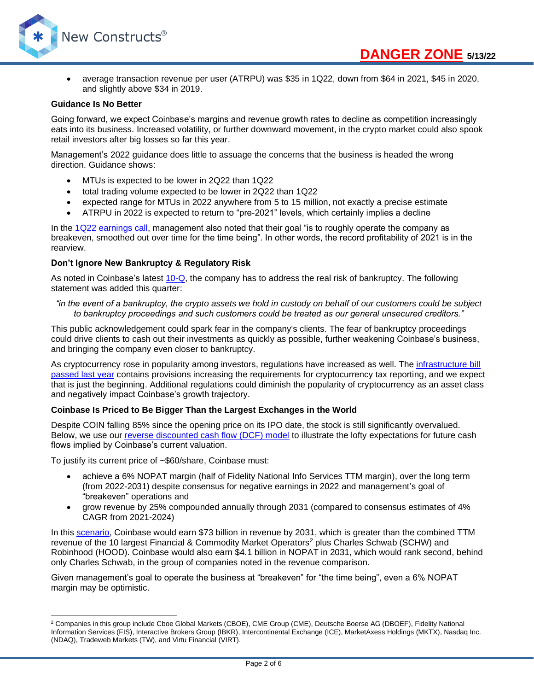

• average transaction revenue per user (ATRPU) was \$35 in 1Q22, down from \$64 in 2021, \$45 in 2020, and slightly above \$34 in 2019.

#### **Guidance Is No Better**

Going forward, we expect Coinbase's margins and revenue growth rates to decline as competition increasingly eats into its business. Increased volatility, or further downward movement, in the crypto market could also spook retail investors after big losses so far this year.

Management's 2022 guidance does little to assuage the concerns that the business is headed the wrong direction. Guidance shows:

- MTUs is expected to be lower in 2Q22 than 1Q22
- total trading volume expected to be lower in 2Q22 than 1Q22
- expected range for MTUs in 2022 anywhere from 5 to 15 million, not exactly a precise estimate
- ATRPU in 2022 is expected to return to "pre-2021" levels, which certainly implies a decline

In the [1Q22 earnings call,](https://seekingalpha.com/article/4509849-coinbase-global-inc-coin-ceo-brian-armstrong-on-q1-2022-results-earnings-call-transcript) management also noted that their goal "is to roughly operate the company as breakeven, smoothed out over time for the time being". In other words, the record profitability of 2021 is in the rearview.

#### **Don't Ignore New Bankruptcy & Regulatory Risk**

As noted in Coinbase's latest [10-Q,](https://www.sec.gov/ix?doc=/Archives/edgar/data/1679788/000167978822000048/coin-20220331.htm) the company has to address the real risk of bankruptcy. The following statement was added this quarter:

#### *"in the event of a bankruptcy, the crypto assets we hold in custody on behalf of our customers could be subject to bankruptcy proceedings and such customers could be treated as our general unsecured creditors."*

This public acknowledgement could spark fear in the company's clients. The fear of bankruptcy proceedings could drive clients to cash out their investments as quickly as possible, further weakening Coinbase's business, and bringing the company even closer to bankruptcy.

As cryptocurrency rose in popularity among investors, regulations have increased as well. The [infrastructure bill](https://www.theverge.com/2021/8/10/22618448/senate-bipartisan-infrastructure-package-schumer-broadband-cryptocurrency)  [passed last year](https://www.theverge.com/2021/8/10/22618448/senate-bipartisan-infrastructure-package-schumer-broadband-cryptocurrency) contains provisions increasing the requirements for cryptocurrency tax reporting, and we expect that is just the beginning. Additional regulations could diminish the popularity of cryptocurrency as an asset class and negatively impact Coinbase's growth trajectory.

#### **Coinbase Is Priced to Be Bigger Than the Largest Exchanges in the World**

Despite COIN falling 85% since the opening price on its IPO date, the stock is still significantly overvalued. Below, we use our [reverse discounted cash flow \(DCF\) model](https://www.newconstructs.com/education-close-the-loopholes-how-our-dcf-works/) to illustrate the lofty expectations for future cash flows implied by Coinbase's current valuation.

To justify its current price of ~\$60/share, Coinbase must:

- achieve a 6% NOPAT margin (half of Fidelity National Info Services TTM margin), over the long term (from 2022-2031) despite consensus for negative earnings in 2022 and management's goal of "breakeven" operations and
- grow revenue by 25% compounded annually through 2031 (compared to consensus estimates of 4% CAGR from 2021-2024)

In this [scenario,](https://www.newconstructs.com/wp-content/uploads/2022/05/NewConstructs_DCF_COINjustificationScenario_2022-05-13.png) Coinbase would earn \$73 billion in revenue by 2031, which is greater than the combined TTM revenue of the 10 largest Financial & Commodity Market Operators<sup>2</sup> plus Charles Schwab (SCHW) and Robinhood (HOOD). Coinbase would also earn \$4.1 billion in NOPAT in 2031, which would rank second, behind only Charles Schwab, in the group of companies noted in the revenue comparison.

Given management's goal to operate the business at "breakeven" for "the time being", even a 6% NOPAT margin may be optimistic.

<sup>&</sup>lt;sup>2</sup> Companies in this group include Cboe Global Markets (CBOE), CME Group (CME), Deutsche Boerse AG (DBOEF), Fidelity National Information Services (FIS), Interactive Brokers Group (IBKR), Intercontinental Exchange (ICE), MarketAxess Holdings (MKTX), Nasdaq Inc. (NDAQ), Tradeweb Markets (TW), and Virtu Financial (VIRT).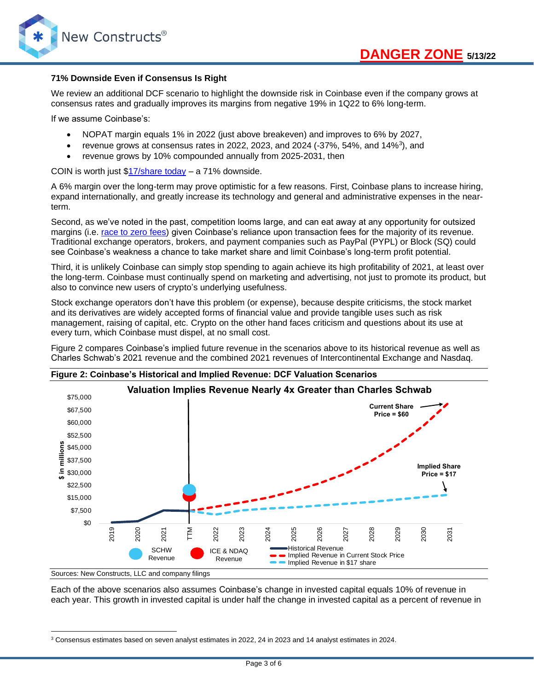

#### **71% Downside Even if Consensus Is Right**

We review an additional DCF scenario to highlight the downside risk in Coinbase even if the company grows at consensus rates and gradually improves its margins from negative 19% in 1Q22 to 6% long-term.

If we assume Coinbase's:

- NOPAT margin equals 1% in 2022 (just above breakeven) and improves to 6% by 2027,
- revenue grows at consensus rates in 2022, 2023, and 2024 (-37%, 54%, and 14% $3$ ), and
- revenue grows by 10% compounded annually from 2025-2031, then

COIN is worth just [\\$17/share today](https://www.newconstructs.com/wp-content/uploads/2022/05/NewConstructs_DCF_COINvaluation_2022-05-12.png) – a 71% downside.

A 6% margin over the long-term may prove optimistic for a few reasons. First, Coinbase plans to increase hiring, expand internationally, and greatly increase its technology and general and administrative expenses in the nearterm.

Second, as we've noted in the past, competition looms large, and can eat away at any opportunity for outsized margins (i.e. [race to zero fees\)](https://www.cnbc.com/2019/10/02/the-end-of-commissions-for-stock-trading-is-near-as-td-ameritrade-cuts-to-zero-matching-schwab.html) given Coinbase's reliance upon transaction fees for the majority of its revenue. Traditional exchange operators, brokers, and payment companies such as PayPal (PYPL) or Block (SQ) could see Coinbase's weakness a chance to take market share and limit Coinbase's long-term profit potential.

Third, it is unlikely Coinbase can simply stop spending to again achieve its high profitability of 2021, at least over the long-term. Coinbase must continually spend on marketing and advertising, not just to promote its product, but also to convince new users of crypto's underlying usefulness.

Stock exchange operators don't have this problem (or expense), because despite criticisms, the stock market and its derivatives are widely accepted forms of financial value and provide tangible uses such as risk management, raising of capital, etc. Crypto on the other hand faces criticism and questions about its use at every turn, which Coinbase must dispel, at no small cost.

Figure 2 compares Coinbase's implied future revenue in the scenarios above to its historical revenue as well as Charles Schwab's 2021 revenue and the combined 2021 revenues of Intercontinental Exchange and Nasdaq.



**Figure 2: Coinbase's Historical and Implied Revenue: DCF Valuation Scenarios**

Sources: New Constructs, LLC and company filings

Each of the above scenarios also assumes Coinbase's change in invested capital equals 10% of revenue in each year. This growth in invested capital is under half the change in invested capital as a percent of revenue in

<sup>3</sup> Consensus estimates based on seven analyst estimates in 2022, 24 in 2023 and 14 analyst estimates in 2024.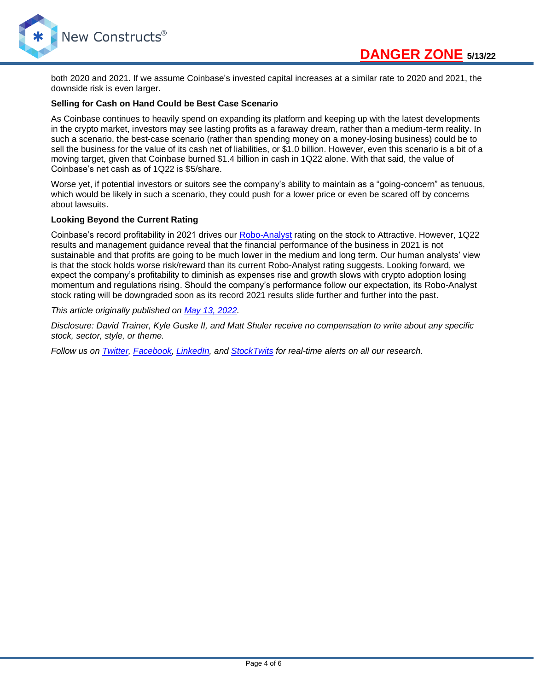

both 2020 and 2021. If we assume Coinbase's invested capital increases at a similar rate to 2020 and 2021, the downside risk is even larger.

#### **Selling for Cash on Hand Could be Best Case Scenario**

As Coinbase continues to heavily spend on expanding its platform and keeping up with the latest developments in the crypto market, investors may see lasting profits as a faraway dream, rather than a medium-term reality. In such a scenario, the best-case scenario (rather than spending money on a money-losing business) could be to sell the business for the value of its cash net of liabilities, or \$1.0 billion. However, even this scenario is a bit of a moving target, given that Coinbase burned \$1.4 billion in cash in 1Q22 alone. With that said, the value of Coinbase's net cash as of 1Q22 is \$5/share.

Worse yet, if potential investors or suitors see the company's ability to maintain as a "going-concern" as tenuous, which would be likely in such a scenario, they could push for a lower price or even be scared off by concerns about lawsuits.

#### **Looking Beyond the Current Rating**

Coinbase's record profitability in 2021 drives our [Robo-Analyst](https://www.newconstructs.com/landing/robo-analyst-technology/) rating on the stock to Attractive. However, 1Q22 results and management guidance reveal that the financial performance of the business in 2021 is not sustainable and that profits are going to be much lower in the medium and long term. Our human analysts' view is that the stock holds worse risk/reward than its current Robo-Analyst rating suggests. Looking forward, we expect the company's profitability to diminish as expenses rise and growth slows with crypto adoption losing momentum and regulations rising. Should the company's performance follow our expectation, its Robo-Analyst stock rating will be downgraded soon as its record 2021 results slide further and further into the past.

#### *This article originally published on [May 13, 2022.](https://www.newconstructs.com/1q22-earnings-shows-coinbases-struggles/)*

*Disclosure: David Trainer, Kyle Guske II, and Matt Shuler receive no compensation to write about any specific stock, sector, style, or theme.*

*Follow us on [Twitter,](https://twitter.com/NewConstructs) [Facebook,](https://www.facebook.com/newconstructsllc/) [LinkedIn,](https://www.linkedin.com/company/new-constructs) and [StockTwits](https://stocktwits.com/dtrainer_NewConstructs) for real-time alerts on all our research.*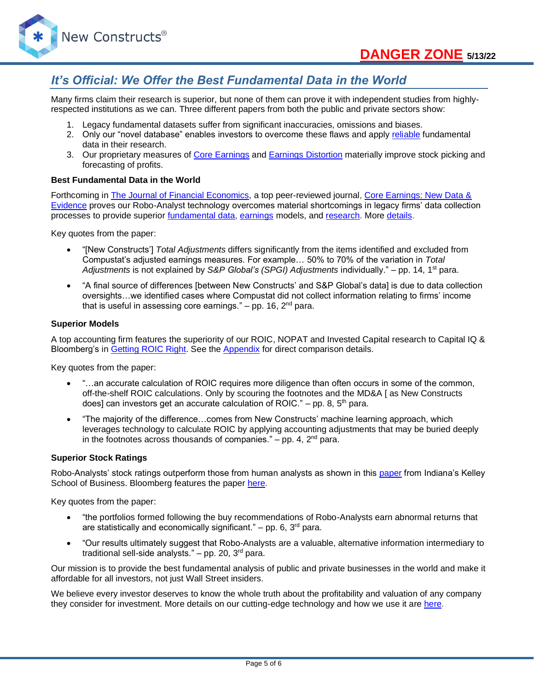

# *It's Official: We Offer the Best Fundamental Data in the World*

Many firms claim their research is superior, but none of them can prove it with independent studies from highlyrespected institutions as we can. Three different papers from both the public and private sectors show:

- 1. Legacy fundamental datasets suffer from significant inaccuracies, omissions and biases.
- 2. Only our "novel database" enables investors to overcome these flaws and apply [reliable](https://www.newconstructs.com/evidence-on-the-superiority-of-our-earnings-data/) fundamental data in their research.
- 3. Our proprietary measures of [Core Earnings](https://www.newconstructs.com/education-core-earnings-earnings-distortion/) and [Earnings Distortion](https://www.newconstructs.com/earnings-distortion-score-methodology/) materially improve stock picking and forecasting of profits.

#### **Best Fundamental Data in the World**

Forthcoming in [The Journal of Financial Economics,](http://jfe.rochester.edu/) a top peer-reviewed journal, [Core Earnings: New Data &](https://papers.ssrn.com/sol3/papers.cfm?abstract_id=3467814)  [Evidence](https://papers.ssrn.com/sol3/papers.cfm?abstract_id=3467814) proves our Robo-Analyst technology overcomes material shortcomings in legacy firms' data collection processes to provide superior [fundamental data,](https://www.newconstructs.com/data/) [earnings](https://www.newconstructs.com/education-core-earnings-earnings-distortion/) models, and [research.](https://www.newconstructs.com/blog/) More [details.](https://www.newconstructs.com/evidence-on-the-superiority-of-our-earnings-data/)

Key quotes from the paper:

- "[New Constructs'] *Total Adjustments* differs significantly from the items identified and excluded from Compustat's adjusted earnings measures. For example… 50% to 70% of the variation in *Total Adjustments* is not explained by *S&P Global's (SPGI) Adjustments* individually." – pp. 14, 1st para.
- "A final source of differences [between New Constructs' and S&P Global's data] is due to data collection oversights…we identified cases where Compustat did not collect information relating to firms' income that is useful in assessing core earnings."  $-$  pp. 16,  $2<sup>nd</sup>$  para.

#### **Superior Models**

A top accounting firm features the superiority of our ROIC, NOPAT and Invested Capital research to Capital IQ & Bloomberg's in [Getting](https://www.newconstructs.com/getting-roic-right/) ROIC Right. See the [Appendix](https://www.newconstructs.com/wp-content/uploads/2019/06/Getting-ROIC-Right.pdf) for direct comparison details.

Key quotes from the paper:

- "...an accurate calculation of ROIC requires more diligence than often occurs in some of the common, off-the-shelf ROIC calculations. Only by scouring the footnotes and the MD&A [ as New Constructs does] can investors get an accurate calculation of ROIC." – pp. 8,  $5<sup>th</sup>$  para.
- "The majority of the difference…comes from New Constructs' machine learning approach, which leverages technology to calculate ROIC by applying accounting adjustments that may be buried deeply in the footnotes across thousands of companies."  $-$  pp. 4,  $2<sup>nd</sup>$  para.

#### **Superior Stock Ratings**

Robo-Analysts' stock ratings outperform those from human analysts as shown in this [paper](https://papers.ssrn.com/sol3/papers.cfm?abstract_id=3514879) from Indiana's Kelley School of Business. Bloomberg features the paper [here.](https://www.bloomberg.com/news/articles/2020-02-11/robot-analysts-outwit-humans-in-study-of-profit-from-stock-calls?sref=zw7RLDfe)

Key quotes from the paper:

- "the portfolios formed following the buy recommendations of Robo-Analysts earn abnormal returns that are statistically and economically significant."  $-$  pp. 6, 3<sup>rd</sup> para.
- "Our results ultimately suggest that Robo-Analysts are a valuable, alternative information intermediary to traditional sell-side analysts."  $-$  pp. 20, 3<sup>rd</sup> para.

Our mission is to provide the best fundamental analysis of public and private businesses in the world and make it affordable for all investors, not just Wall Street insiders.

We believe every investor deserves to know the whole truth about the profitability and valuation of any company they consider for investment. More details on our cutting-edge technology and how we use it are [here.](https://www.youtube.com/watch?v=wRUr5w4zDVA)